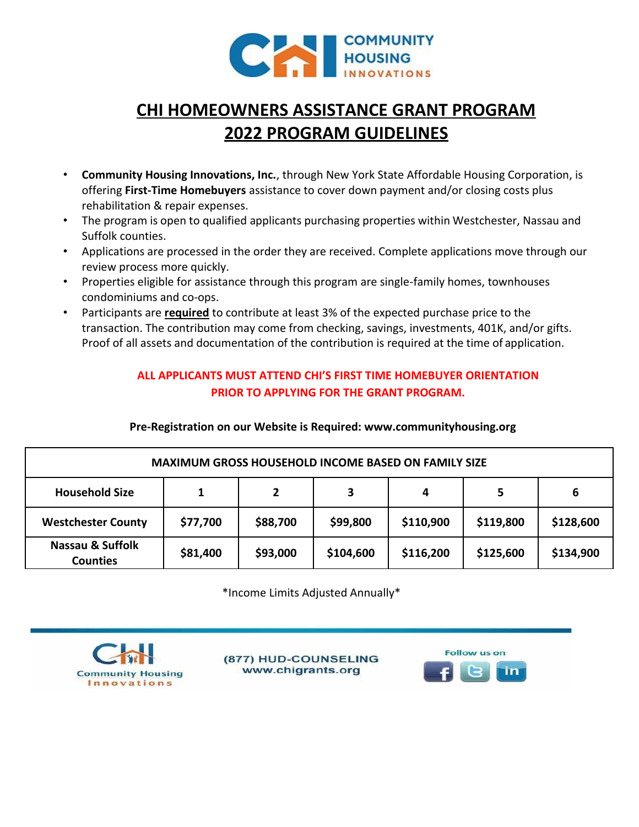

# **CHI HOMEOWNERS ASSISTANCE GRANT PROGRAM 2022 PROGRAM GUIDELINES**

- **Community Housing Innovations, Inc.**, through New York State Affordable Housing Corporation, is offering **First-Time Homebuyers** assistance to cover down payment and/or closing costs plus rehabilitation & repair expenses.
- The program is open to qualified applicants purchasing properties within Westchester, Nassau and Suffolk counties.
- Applications are processed in the order they are received. Complete applications move through our review process more quickly.
- Properties eligible for assistance through this program are single-family homes, townhouses condominiums and co-ops.
- Participants are **required** to contribute at least 3% of the expected purchase price to the transaction. The contribution may come from checking, savings, investments, 401K, and/or gifts. Proof of all assets and documentation of the contribution is required at the time of application.

### **ALL APPLICANTS MUST ATTEND CHI'S FIRST TIME HOMEBUYER ORIENTATION PRIOR TO APPLYING FOR THE GRANT PROGRAM.**

| <b>MAXIMUM GROSS HOUSEHOLD INCOME BASED ON FAMILY SIZE</b> |              |              |           |           |           |           |
|------------------------------------------------------------|--------------|--------------|-----------|-----------|-----------|-----------|
| <b>Household Size</b>                                      | $\mathbf{1}$ | $\mathbf{2}$ | 3         | 4         | 5         | 6         |
| <b>Westchester County</b>                                  | \$77,700     | \$88,700     | \$99,800  | \$110,900 | \$119,800 | \$128,600 |
| Nassau & Suffolk<br><b>Counties</b>                        | \$81,400     | \$93,000     | \$104,600 | \$116,200 | \$125,600 | \$134,900 |

**Pre-Registration on our Website is Required: www.communityhousing.org**

\*Income Limits Adjusted Annually\*



(877) HUD-COUNSELING www.chigrants.org